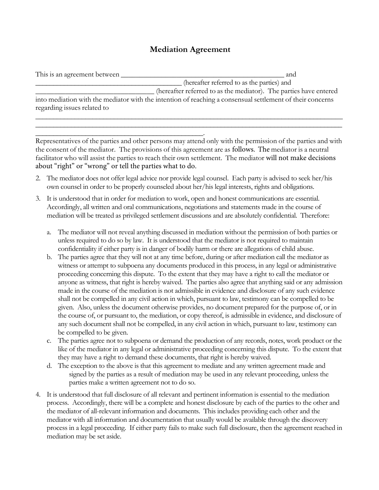## **Mediation Agreement**

| This is an agreement between                                                                                                             | and                                                               |
|------------------------------------------------------------------------------------------------------------------------------------------|-------------------------------------------------------------------|
|                                                                                                                                          | (hereafter referred to as the parties) and                        |
|                                                                                                                                          | (hereafter referred to as the mediator). The parties have entered |
| into mediation with the mediator with the intention of reaching a consensual settlement of their concerns<br>regarding issues related to |                                                                   |
|                                                                                                                                          |                                                                   |

Representatives of the parties and other persons may attend only with the permission of the parties and with the consent of the mediator. The provisions of this agreement are as follows. The mediator is a neutral facilitator who will assist the parties to reach their own settlement. The mediator will not make decisions about "right" or "wrong" or tell the parties what to do.

\_\_\_\_\_\_\_\_\_\_\_\_\_\_\_\_\_\_\_\_\_\_\_\_\_\_\_\_\_\_\_\_\_\_\_\_\_\_\_\_\_\_\_\_\_\_\_\_\_\_\_\_\_\_\_\_\_\_\_\_\_\_\_\_\_\_\_\_\_\_\_\_\_\_\_\_\_\_\_\_\_\_\_\_\_\_

\_\_\_\_\_\_\_\_\_\_\_\_\_\_\_\_\_\_\_\_\_\_\_\_\_\_\_\_\_\_\_\_\_\_\_\_\_\_\_\_\_\_\_\_\_\_\_.

- 2. The mediator does not offer legal advice nor provide legal counsel. Each party is advised to seek her/his own counsel in order to be properly counseled about her/his legal interests, rights and obligations.
- 3. It is understood that in order for mediation to work, open and honest communications are essential. Accordingly, all written and oral communications, negotiations and statements made in the course of mediation will be treated as privileged settlement discussions and are absolutely confidential. Therefore:
	- a. The mediator will not reveal anything discussed in mediation without the permission of both parties or unless required to do so by law. It is understood that the mediator is not required to maintain confidentiality if either party is in danger of bodily harm or there are allegations of child abuse.
	- b. The parties agree that they will not at any time before, during or after mediation call the mediator as witness or attempt to subpoena any documents produced in this process, in any legal or administrative proceeding concerning this dispute. To the extent that they may have a right to call the mediator or anyone as witness, that right is hereby waived. The parties also agree that anything said or any admission made in the course of the mediation is not admissible in evidence and disclosure of any such evidence shall not be compelled in any civil action in which, pursuant to law, testimony can be compelled to be given. Also, unless the document otherwise provides, no document prepared for the purpose of, or in the course of, or pursuant to, the mediation, or copy thereof, is admissible in evidence, and disclosure of any such document shall not be compelled, in any civil action in which, pursuant to law, testimony can be compelled to be given.
	- c. The parties agree not to subpoena or demand the production of any records, notes, work product or the like of the mediator in any legal or administrative proceeding concerning this dispute. To the extent that they may have a right to demand these documents, that right is hereby waived.
	- d. The exception to the above is that this agreement to mediate and any written agreement made and signed by the parties as a result of mediation may be used in any relevant proceeding, unless the parties make a written agreement not to do so.
- 4. It is understood that full disclosure of all relevant and pertinent information is essential to the mediation process. Accordingly, there will be a complete and honest disclosure by each of the parties to the other and the mediator of all-relevant information and documents. This includes providing each other and the mediator with all information and documentation that usually would be available through the discovery process in a legal proceeding. If either party fails to make such full disclosure, then the agreement reached in mediation may be set aside.